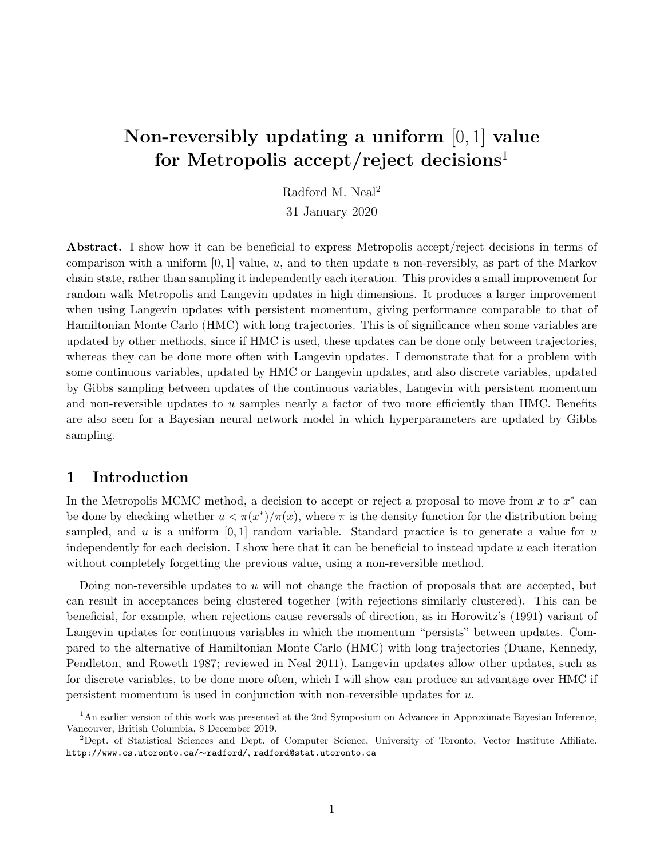# Non-reversibly updating a uniform  $[0, 1]$  value for Metropolis accept/reject decisions<sup>1</sup>

Radford M. Neal<sup>2</sup>

31 January 2020

Abstract. I show how it can be beneficial to express Metropolis accept/reject decisions in terms of comparison with a uniform  $[0, 1]$  value, u, and to then update u non-reversibly, as part of the Markov chain state, rather than sampling it independently each iteration. This provides a small improvement for random walk Metropolis and Langevin updates in high dimensions. It produces a larger improvement when using Langevin updates with persistent momentum, giving performance comparable to that of Hamiltonian Monte Carlo (HMC) with long trajectories. This is of significance when some variables are updated by other methods, since if HMC is used, these updates can be done only between trajectories, whereas they can be done more often with Langevin updates. I demonstrate that for a problem with some continuous variables, updated by HMC or Langevin updates, and also discrete variables, updated by Gibbs sampling between updates of the continuous variables, Langevin with persistent momentum and non-reversible updates to  $u$  samples nearly a factor of two more efficiently than HMC. Benefits are also seen for a Bayesian neural network model in which hyperparameters are updated by Gibbs sampling.

## 1 Introduction

In the Metropolis MCMC method, a decision to accept or reject a proposal to move from x to  $x^*$  can be done by checking whether  $u < \pi(x^*)/\pi(x)$ , where  $\pi$  is the density function for the distribution being sampled, and u is a uniform  $[0, 1]$  random variable. Standard practice is to generate a value for u independently for each decision. I show here that it can be beneficial to instead update  $u$  each iteration without completely forgetting the previous value, using a non-reversible method.

Doing non-reversible updates to  $u$  will not change the fraction of proposals that are accepted, but can result in acceptances being clustered together (with rejections similarly clustered). This can be beneficial, for example, when rejections cause reversals of direction, as in Horowitz's (1991) variant of Langevin updates for continuous variables in which the momentum "persists" between updates. Compared to the alternative of Hamiltonian Monte Carlo (HMC) with long trajectories (Duane, Kennedy, Pendleton, and Roweth 1987; reviewed in Neal 2011), Langevin updates allow other updates, such as for discrete variables, to be done more often, which I will show can produce an advantage over HMC if persistent momentum is used in conjunction with non-reversible updates for u.

<sup>&</sup>lt;sup>1</sup>An earlier version of this work was presented at the 2nd Symposium on Advances in Approximate Bayesian Inference, Vancouver, British Columbia, 8 December 2019.

<sup>&</sup>lt;sup>2</sup>Dept. of Statistical Sciences and Dept. of Computer Science, University of Toronto, Vector Institute Affiliate. http://www.cs.utoronto.ca/∼radford/, radford@stat.utoronto.ca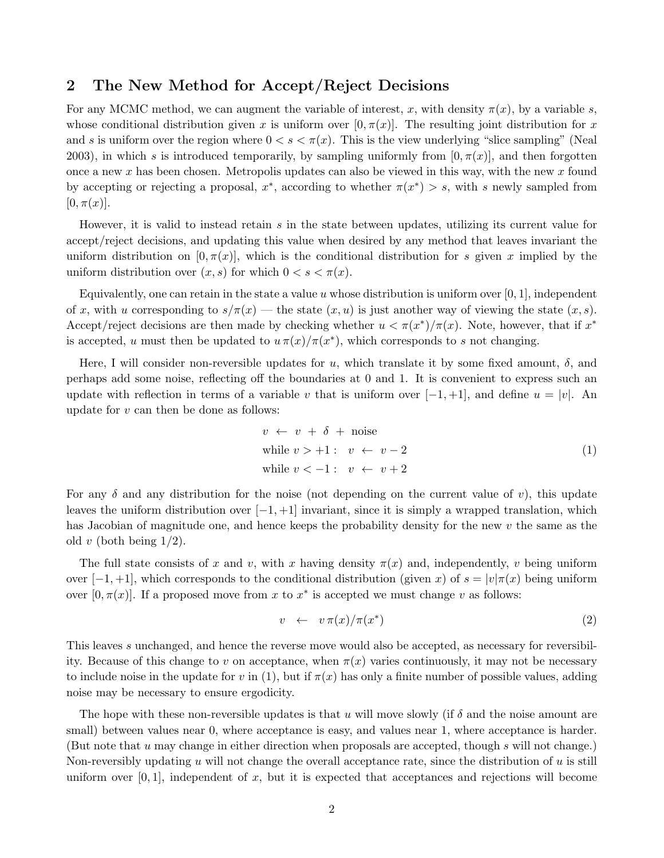## 2 The New Method for Accept/Reject Decisions

For any MCMC method, we can augment the variable of interest, x, with density  $\pi(x)$ , by a variable s, whose conditional distribution given x is uniform over  $[0, \pi(x)]$ . The resulting joint distribution for x and s is uniform over the region where  $0 < s < \pi(x)$ . This is the view underlying "slice sampling" (Neal 2003), in which s is introduced temporarily, by sampling uniformly from  $[0, \pi(x)]$ , and then forgotten once a new x has been chosen. Metropolis updates can also be viewed in this way, with the new x found by accepting or rejecting a proposal,  $x^*$ , according to whether  $\pi(x^*) > s$ , with s newly sampled from  $[0, \pi(x)].$ 

However, it is valid to instead retain s in the state between updates, utilizing its current value for accept/reject decisions, and updating this value when desired by any method that leaves invariant the uniform distribution on  $[0, \pi(x)]$ , which is the conditional distribution for s given x implied by the uniform distribution over  $(x, s)$  for which  $0 < s < \pi(x)$ .

Equivalently, one can retain in the state a value u whose distribution is uniform over  $[0, 1]$ , independent of x, with u corresponding to  $s/\pi(x)$  — the state  $(x, u)$  is just another way of viewing the state  $(x, s)$ . Accept/reject decisions are then made by checking whether  $u < \pi(x^*)/\pi(x)$ . Note, however, that if  $x^*$ is accepted, u must then be updated to  $u \pi(x)/\pi(x^*)$ , which corresponds to s not changing.

Here, I will consider non-reversible updates for u, which translate it by some fixed amount,  $\delta$ , and perhaps add some noise, reflecting off the boundaries at 0 and 1. It is convenient to express such an update with reflection in terms of a variable v that is uniform over  $[-1, +1]$ , and define  $u = |v|$ . An update for  $v$  can then be done as follows:

$$
v \leftarrow v + \delta + \text{noise}
$$
  
while  $v > +1: v \leftarrow v - 2$   
while  $v < -1: v \leftarrow v + 2$  (1)

For any  $\delta$  and any distribution for the noise (not depending on the current value of v), this update leaves the uniform distribution over  $[-1, +1]$  invariant, since it is simply a wrapped translation, which has Jacobian of magnitude one, and hence keeps the probability density for the new v the same as the old v (both being  $1/2$ ).

The full state consists of x and v, with x having density  $\pi(x)$  and, independently, v being uniform over  $[-1, +1]$ , which corresponds to the conditional distribution (given x) of  $s = |v|\pi(x)$  being uniform over  $[0, \pi(x)]$ . If a proposed move from x to  $x^*$  is accepted we must change v as follows:

$$
v \leftarrow v \pi(x) / \pi(x^*) \tag{2}
$$

This leaves s unchanged, and hence the reverse move would also be accepted, as necessary for reversibility. Because of this change to v on acceptance, when  $\pi(x)$  varies continuously, it may not be necessary to include noise in the update for v in (1), but if  $\pi(x)$  has only a finite number of possible values, adding noise may be necessary to ensure ergodicity.

The hope with these non-reversible updates is that u will move slowly (if  $\delta$  and the noise amount are small) between values near 0, where acceptance is easy, and values near 1, where acceptance is harder. (But note that  $u$  may change in either direction when proposals are accepted, though  $s$  will not change.) Non-reversibly updating  $u$  will not change the overall acceptance rate, since the distribution of  $u$  is still uniform over  $[0, 1]$ , independent of x, but it is expected that acceptances and rejections will become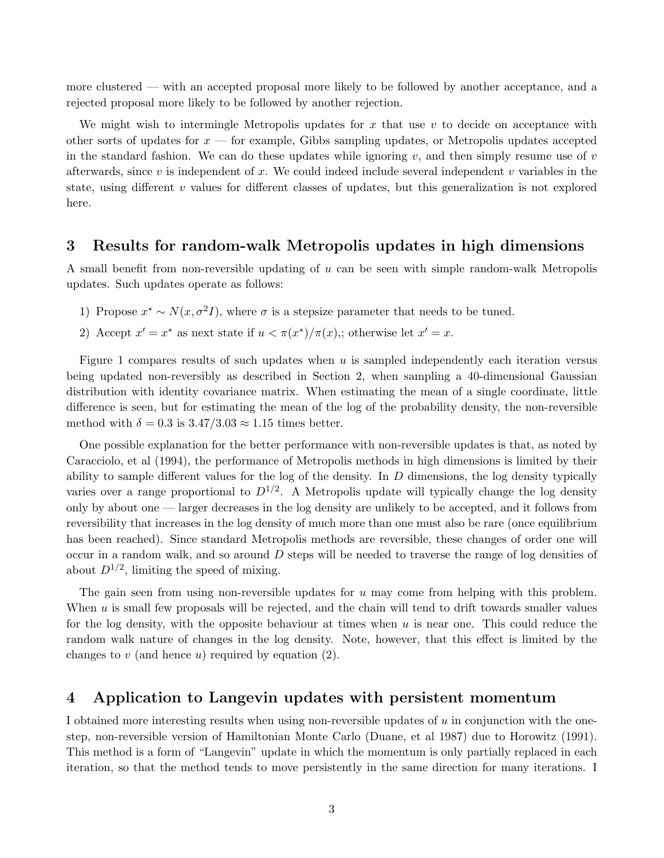more clustered — with an accepted proposal more likely to be followed by another acceptance, and a rejected proposal more likely to be followed by another rejection.

We might wish to intermingle Metropolis updates for x that use  $v$  to decide on acceptance with other sorts of updates for  $x$  — for example, Gibbs sampling updates, or Metropolis updates accepted in the standard fashion. We can do these updates while ignoring v, and then simply resume use of  $v$ afterwards, since  $v$  is independent of  $x$ . We could indeed include several independent  $v$  variables in the state, using different  $v$  values for different classes of updates, but this generalization is not explored here.

### 3 Results for random-walk Metropolis updates in high dimensions

A small benefit from non-reversible updating of  $u$  can be seen with simple random-walk Metropolis updates. Such updates operate as follows:

- 1) Propose  $x^* \sim N(x, \sigma^2 I)$ , where  $\sigma$  is a stepsize parameter that needs to be tuned.
- 2) Accept  $x' = x^*$  as next state if  $u < \pi(x^*)/\pi(x)$ ,; otherwise let  $x' = x$ .

Figure 1 compares results of such updates when  $u$  is sampled independently each iteration versus being updated non-reversibly as described in Section 2, when sampling a 40-dimensional Gaussian distribution with identity covariance matrix. When estimating the mean of a single coordinate, little difference is seen, but for estimating the mean of the log of the probability density, the non-reversible method with  $\delta = 0.3$  is  $3.47/3.03 \approx 1.15$  times better.

One possible explanation for the better performance with non-reversible updates is that, as noted by Caracciolo, et al (1994), the performance of Metropolis methods in high dimensions is limited by their ability to sample different values for the log of the density. In  $D$  dimensions, the log density typically varies over a range proportional to  $D^{1/2}$ . A Metropolis update will typically change the log density only by about one — larger decreases in the log density are unlikely to be accepted, and it follows from reversibility that increases in the log density of much more than one must also be rare (once equilibrium has been reached). Since standard Metropolis methods are reversible, these changes of order one will occur in a random walk, and so around D steps will be needed to traverse the range of log densities of about  $D^{1/2}$ , limiting the speed of mixing.

The gain seen from using non-reversible updates for  $u$  may come from helping with this problem. When  $u$  is small few proposals will be rejected, and the chain will tend to drift towards smaller values for the log density, with the opposite behaviour at times when  $u$  is near one. This could reduce the random walk nature of changes in the log density. Note, however, that this effect is limited by the changes to  $v$  (and hence  $u$ ) required by equation (2).

#### 4 Application to Langevin updates with persistent momentum

I obtained more interesting results when using non-reversible updates of  $u$  in conjunction with the onestep, non-reversible version of Hamiltonian Monte Carlo (Duane, et al 1987) due to Horowitz (1991). This method is a form of "Langevin" update in which the momentum is only partially replaced in each iteration, so that the method tends to move persistently in the same direction for many iterations. I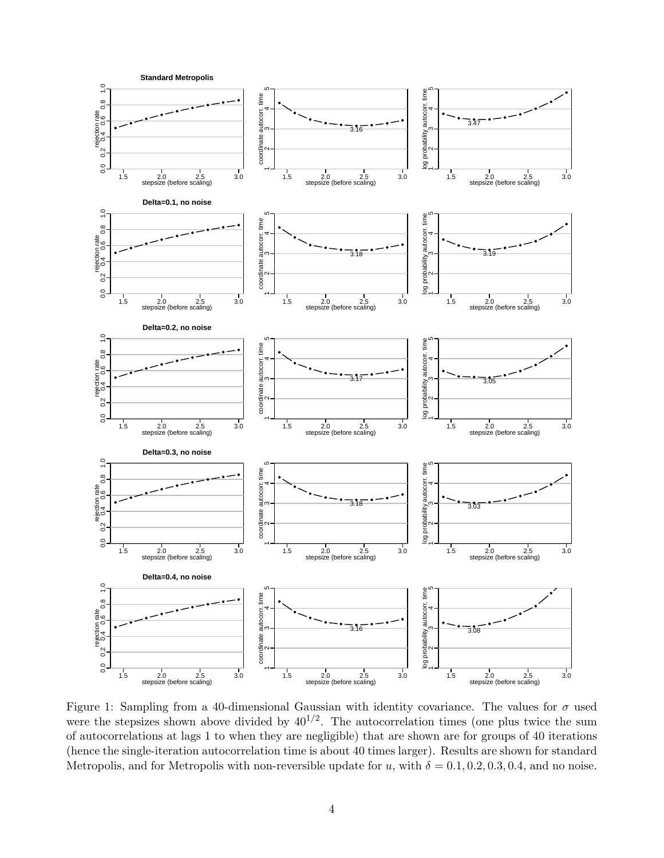

Figure 1: Sampling from a 40-dimensional Gaussian with identity covariance. The values for  $\sigma$  used were the stepsizes shown above divided by  $40^{1/2}$ . The autocorrelation times (one plus twice the sum of autocorrelations at lags 1 to when they are negligible) that are shown are for groups of 40 iterations (hence the single-iteration autocorrelation time is about 40 times larger). Results are shown for standard Metropolis, and for Metropolis with non-reversible update for u, with  $\delta = 0.1, 0.2, 0.3, 0.4$ , and no noise.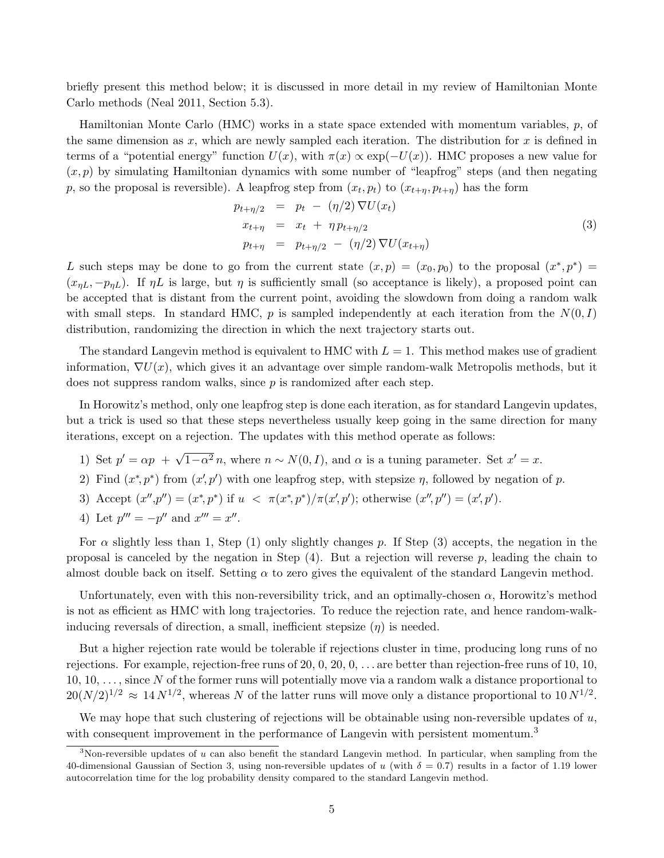briefly present this method below; it is discussed in more detail in my review of Hamiltonian Monte Carlo methods (Neal 2011, Section 5.3).

Hamiltonian Monte Carlo (HMC) works in a state space extended with momentum variables,  $p$ , of the same dimension as  $x$ , which are newly sampled each iteration. The distribution for  $x$  is defined in terms of a "potential energy" function  $U(x)$ , with  $\pi(x) \propto \exp(-U(x))$ . HMC proposes a new value for  $(x, p)$  by simulating Hamiltonian dynamics with some number of "leapfrog" steps (and then negating p, so the proposal is reversible). A leapfrog step from  $(x_t, p_t)$  to  $(x_{t+\eta}, p_{t+\eta})$  has the form

$$
p_{t+\eta/2} = p_t - (\eta/2) \nabla U(x_t)
$$
  
\n
$$
x_{t+\eta} = x_t + \eta p_{t+\eta/2}
$$
  
\n
$$
p_{t+\eta} = p_{t+\eta/2} - (\eta/2) \nabla U(x_{t+\eta})
$$
\n(3)

L such steps may be done to go from the current state  $(x, p) = (x_0, p_0)$  to the proposal  $(x^*, p^*) =$  $(x_{nL}, -p_{nL})$ . If  $\eta L$  is large, but  $\eta$  is sufficiently small (so acceptance is likely), a proposed point can be accepted that is distant from the current point, avoiding the slowdown from doing a random walk with small steps. In standard HMC,  $p$  is sampled independently at each iteration from the  $N(0, I)$ distribution, randomizing the direction in which the next trajectory starts out.

The standard Langevin method is equivalent to HMC with  $L = 1$ . This method makes use of gradient information,  $\nabla U(x)$ , which gives it an advantage over simple random-walk Metropolis methods, but it does not suppress random walks, since  $p$  is randomized after each step.

In Horowitz's method, only one leapfrog step is done each iteration, as for standard Langevin updates, but a trick is used so that these steps nevertheless usually keep going in the same direction for many iterations, except on a rejection. The updates with this method operate as follows:

- 1) Set  $p' = \alpha p + \sqrt{1 \alpha^2} n$ , where  $n \sim N(0, I)$ , and  $\alpha$  is a tuning parameter. Set  $x' = x$ .
- 2) Find  $(x^*, p^*)$  from  $(x', p')$  with one leapfrog step, with stepsize  $\eta$ , followed by negation of p.
- 3) Accept  $(x'',p'') = (x^*,p^*)$  if  $u < \pi(x^*,p^*)/\pi(x',p')$ ; otherwise  $(x'',p'') = (x',p')$ .
- 4) Let  $p''' = -p''$  and  $x''' = x''$ .

For  $\alpha$  slightly less than 1, Step (1) only slightly changes p. If Step (3) accepts, the negation in the proposal is canceled by the negation in Step  $(4)$ . But a rejection will reverse p, leading the chain to almost double back on itself. Setting  $\alpha$  to zero gives the equivalent of the standard Langevin method.

Unfortunately, even with this non-reversibility trick, and an optimally-chosen  $\alpha$ , Horowitz's method is not as efficient as HMC with long trajectories. To reduce the rejection rate, and hence random-walkinducing reversals of direction, a small, inefficient stepsize  $(\eta)$  is needed.

But a higher rejection rate would be tolerable if rejections cluster in time, producing long runs of no rejections. For example, rejection-free runs of  $20, 0, 20, 0, \ldots$  are better than rejection-free runs of  $10, 10,$  $10, 10, \ldots$ , since N of the former runs will potentially move via a random walk a distance proportional to  $20(N/2)^{1/2} \approx 14 N^{1/2}$ , whereas N of the latter runs will move only a distance proportional to  $10 N^{1/2}$ .

We may hope that such clustering of rejections will be obtainable using non-reversible updates of  $u$ , with consequent improvement in the performance of Langevin with persistent momentum.<sup>3</sup>

<sup>&</sup>lt;sup>3</sup>Non-reversible updates of u can also benefit the standard Langevin method. In particular, when sampling from the 40-dimensional Gaussian of Section 3, using non-reversible updates of u (with  $\delta = 0.7$ ) results in a factor of 1.19 lower autocorrelation time for the log probability density compared to the standard Langevin method.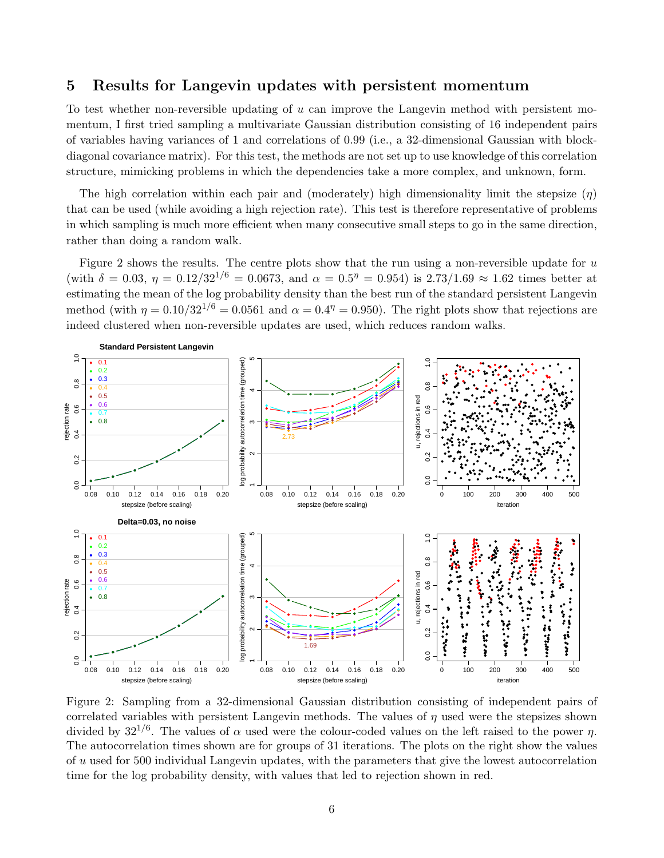## 5 Results for Langevin updates with persistent momentum

To test whether non-reversible updating of u can improve the Langevin method with persistent momentum, I first tried sampling a multivariate Gaussian distribution consisting of 16 independent pairs of variables having variances of 1 and correlations of 0.99 (i.e., a 32-dimensional Gaussian with blockdiagonal covariance matrix). For this test, the methods are not set up to use knowledge of this correlation structure, mimicking problems in which the dependencies take a more complex, and unknown, form.

The high correlation within each pair and (moderately) high dimensionality limit the stepsize  $(\eta)$ that can be used (while avoiding a high rejection rate). This test is therefore representative of problems in which sampling is much more efficient when many consecutive small steps to go in the same direction, rather than doing a random walk.

Figure 2 shows the results. The centre plots show that the run using a non-reversible update for  $u$ (with  $\delta = 0.03$ ,  $\eta = 0.12/32^{1/6} = 0.0673$ , and  $\alpha = 0.5^{\eta} = 0.954$ ) is 2.73/1.69  $\approx 1.62$  times better at estimating the mean of the log probability density than the best run of the standard persistent Langevin method (with  $\eta = 0.10/32^{1/6} = 0.0561$  and  $\alpha = 0.4^{\eta} = 0.950$ ). The right plots show that rejections are indeed clustered when non-reversible updates are used, which reduces random walks.



Figure 2: Sampling from a 32-dimensional Gaussian distribution consisting of independent pairs of correlated variables with persistent Langevin methods. The values of  $\eta$  used were the stepsizes shown divided by  $32^{1/6}$ . The values of  $\alpha$  used were the colour-coded values on the left raised to the power  $\eta$ . The autocorrelation times shown are for groups of 31 iterations. The plots on the right show the values of u used for 500 individual Langevin updates, with the parameters that give the lowest autocorrelation time for the log probability density, with values that led to rejection shown in red.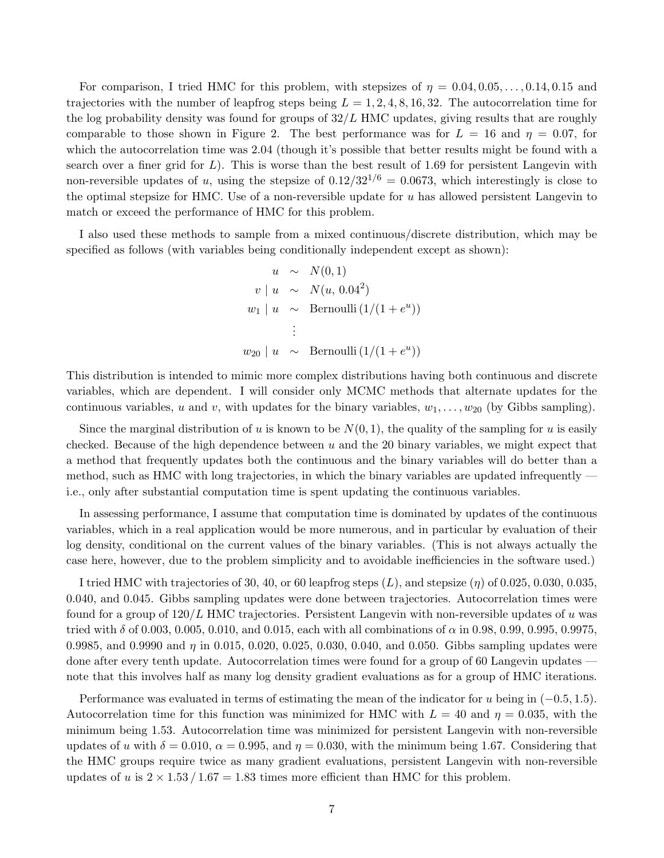For comparison, I tried HMC for this problem, with stepsizes of  $\eta = 0.04, 0.05, \ldots, 0.14, 0.15$  and trajectories with the number of leapfrog steps being  $L = 1, 2, 4, 8, 16, 32$ . The autocorrelation time for the log probability density was found for groups of  $32/L$  HMC updates, giving results that are roughly comparable to those shown in Figure 2. The best performance was for  $L = 16$  and  $\eta = 0.07$ , for which the autocorrelation time was 2.04 (though it's possible that better results might be found with a search over a finer grid for  $L$ ). This is worse than the best result of 1.69 for persistent Langevin with non-reversible updates of u, using the stepsize of  $0.12/32^{1/6} = 0.0673$ , which interestingly is close to the optimal stepsize for HMC. Use of a non-reversible update for  $u$  has allowed persistent Langevin to match or exceed the performance of HMC for this problem.

I also used these methods to sample from a mixed continuous/discrete distribution, which may be specified as follows (with variables being conditionally independent except as shown):

$$
u \sim N(0, 1)
$$
  
\n
$$
v \mid u \sim N(u, 0.04^{2})
$$
  
\n
$$
w_{1} \mid u \sim \text{Bernoulli} (1/(1 + e^{u}))
$$
  
\n
$$
\vdots
$$
  
\n
$$
w_{20} \mid u \sim \text{Bernoulli} (1/(1 + e^{u}))
$$

This distribution is intended to mimic more complex distributions having both continuous and discrete variables, which are dependent. I will consider only MCMC methods that alternate updates for the continuous variables, u and v, with updates for the binary variables,  $w_1, \ldots, w_{20}$  (by Gibbs sampling).

Since the marginal distribution of u is known to be  $N(0, 1)$ , the quality of the sampling for u is easily checked. Because of the high dependence between  $u$  and the 20 binary variables, we might expect that a method that frequently updates both the continuous and the binary variables will do better than a method, such as HMC with long trajectories, in which the binary variables are updated infrequently i.e., only after substantial computation time is spent updating the continuous variables.

In assessing performance, I assume that computation time is dominated by updates of the continuous variables, which in a real application would be more numerous, and in particular by evaluation of their log density, conditional on the current values of the binary variables. (This is not always actually the case here, however, due to the problem simplicity and to avoidable inefficiencies in the software used.)

I tried HMC with trajectories of 30, 40, or 60 leapfrog steps  $(L)$ , and stepsize  $(\eta)$  of 0.025, 0.030, 0.035, 0.040, and 0.045. Gibbs sampling updates were done between trajectories. Autocorrelation times were found for a group of  $120/L$  HMC trajectories. Persistent Langevin with non-reversible updates of u was tried with  $\delta$  of 0.003, 0.005, 0.010, and 0.015, each with all combinations of  $\alpha$  in 0.98, 0.99, 0.995, 0.9975, 0.9985, and 0.9990 and  $\eta$  in 0.015, 0.020, 0.025, 0.030, 0.040, and 0.050. Gibbs sampling updates were done after every tenth update. Autocorrelation times were found for a group of 60 Langevin updates note that this involves half as many log density gradient evaluations as for a group of HMC iterations.

Performance was evaluated in terms of estimating the mean of the indicator for u being in  $(-0.5, 1.5)$ . Autocorrelation time for this function was minimized for HMC with  $L = 40$  and  $\eta = 0.035$ , with the minimum being 1.53. Autocorrelation time was minimized for persistent Langevin with non-reversible updates of u with  $\delta = 0.010$ ,  $\alpha = 0.995$ , and  $\eta = 0.030$ , with the minimum being 1.67. Considering that the HMC groups require twice as many gradient evaluations, persistent Langevin with non-reversible updates of u is  $2 \times 1.53 / 1.67 = 1.83$  times more efficient than HMC for this problem.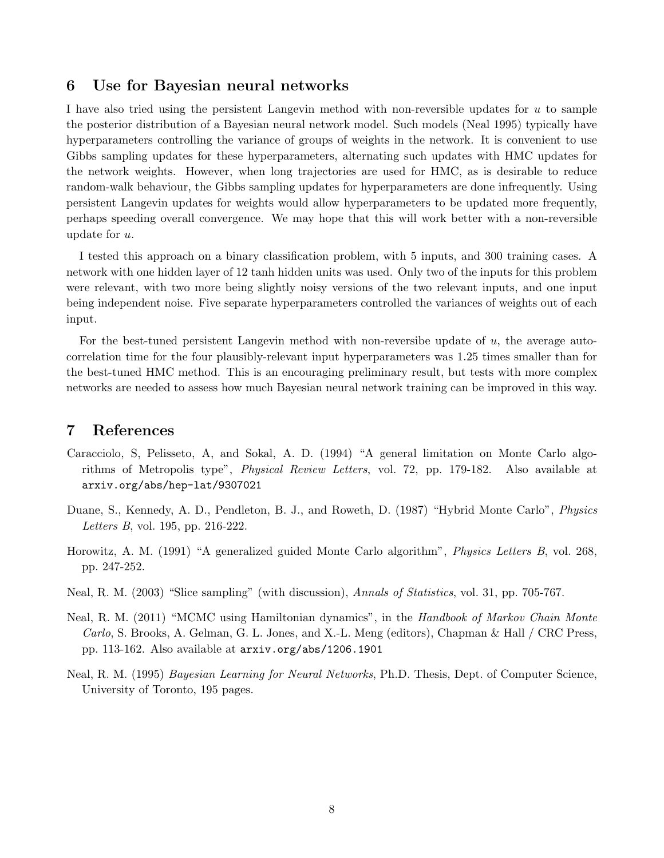#### 6 Use for Bayesian neural networks

I have also tried using the persistent Langevin method with non-reversible updates for  $u$  to sample the posterior distribution of a Bayesian neural network model. Such models (Neal 1995) typically have hyperparameters controlling the variance of groups of weights in the network. It is convenient to use Gibbs sampling updates for these hyperparameters, alternating such updates with HMC updates for the network weights. However, when long trajectories are used for HMC, as is desirable to reduce random-walk behaviour, the Gibbs sampling updates for hyperparameters are done infrequently. Using persistent Langevin updates for weights would allow hyperparameters to be updated more frequently, perhaps speeding overall convergence. We may hope that this will work better with a non-reversible update for u.

I tested this approach on a binary classification problem, with 5 inputs, and 300 training cases. A network with one hidden layer of 12 tanh hidden units was used. Only two of the inputs for this problem were relevant, with two more being slightly noisy versions of the two relevant inputs, and one input being independent noise. Five separate hyperparameters controlled the variances of weights out of each input.

For the best-tuned persistent Langevin method with non-reversibe update of u, the average autocorrelation time for the four plausibly-relevant input hyperparameters was 1.25 times smaller than for the best-tuned HMC method. This is an encouraging preliminary result, but tests with more complex networks are needed to assess how much Bayesian neural network training can be improved in this way.

## 7 References

- Caracciolo, S, Pelisseto, A, and Sokal, A. D. (1994) "A general limitation on Monte Carlo algorithms of Metropolis type", Physical Review Letters, vol. 72, pp. 179-182. Also available at arxiv.org/abs/hep-lat/9307021
- Duane, S., Kennedy, A. D., Pendleton, B. J., and Roweth, D. (1987) "Hybrid Monte Carlo", Physics Letters B, vol. 195, pp. 216-222.
- Horowitz, A. M. (1991) "A generalized guided Monte Carlo algorithm", Physics Letters B, vol. 268, pp. 247-252.
- Neal, R. M. (2003) "Slice sampling" (with discussion), Annals of Statistics, vol. 31, pp. 705-767.
- Neal, R. M. (2011) "MCMC using Hamiltonian dynamics", in the Handbook of Markov Chain Monte Carlo, S. Brooks, A. Gelman, G. L. Jones, and X.-L. Meng (editors), Chapman & Hall / CRC Press, pp. 113-162. Also available at arxiv.org/abs/1206.1901
- Neal, R. M. (1995) Bayesian Learning for Neural Networks, Ph.D. Thesis, Dept. of Computer Science, University of Toronto, 195 pages.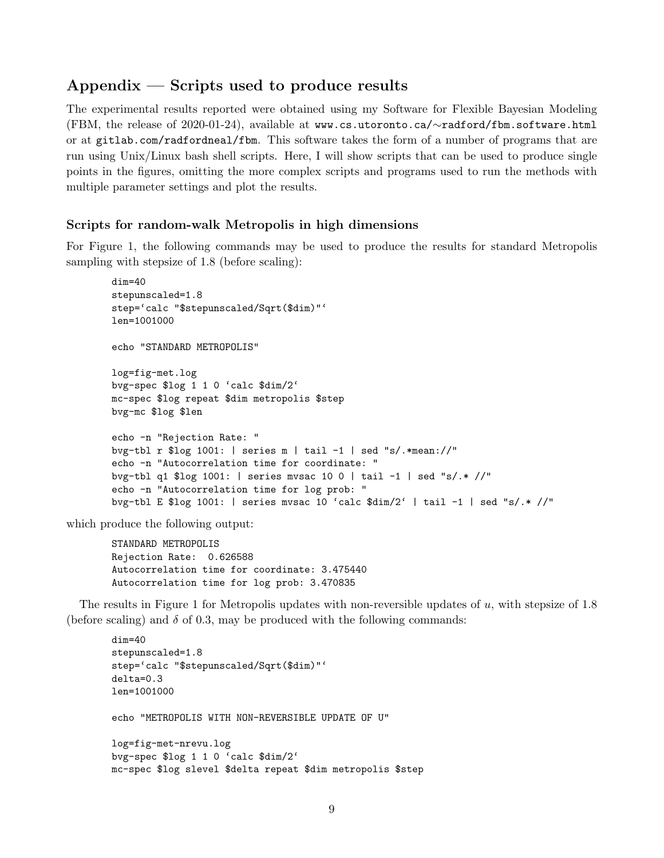# $Appendix -$  Scripts used to produce results

The experimental results reported were obtained using my Software for Flexible Bayesian Modeling (FBM, the release of 2020-01-24), available at www.cs.utoronto.ca/∼radford/fbm.software.html or at gitlab.com/radfordneal/fbm. This software takes the form of a number of programs that are run using Unix/Linux bash shell scripts. Here, I will show scripts that can be used to produce single points in the figures, omitting the more complex scripts and programs used to run the methods with multiple parameter settings and plot the results.

#### Scripts for random-walk Metropolis in high dimensions

For Figure 1, the following commands may be used to produce the results for standard Metropolis sampling with stepsize of 1.8 (before scaling):

```
dim=40
stepunscaled=1.8
step='calc "$stepunscaled/Sqrt($dim)"'
len=1001000
echo "STANDARD METROPOLIS"
log=fig-met.log
bvg-spec $log 1 1 0 'calc $dim/2'
mc-spec $log repeat $dim metropolis $step
bvg-mc $log $len
echo -n "Rejection Rate: "
bvg-tbl r $log 1001: | series m | tail -1 | sed "s/.*mean://"
echo -n "Autocorrelation time for coordinate: "
bvg-tbl q1 $log 1001: | series mvsac 10 0 | tail -1 | sed "s/.* //"
echo -n "Autocorrelation time for log prob: "
bvg-tbl E $log 1001: | series mvsac 10 'calc $dim/2' | tail -1 | sed "s/.* //"
```
which produce the following output:

STANDARD METROPOLIS Rejection Rate: 0.626588 Autocorrelation time for coordinate: 3.475440 Autocorrelation time for log prob: 3.470835

The results in Figure 1 for Metropolis updates with non-reversible updates of  $u$ , with stepsize of 1.8 (before scaling) and  $\delta$  of 0.3, may be produced with the following commands:

```
dim=40
stepunscaled=1.8
step='calc "$stepunscaled/Sqrt($dim)"'
delta=0.3
len=1001000
echo "METROPOLIS WITH NON-REVERSIBLE UPDATE OF U"
log=fig-met-nrevu.log
bvg-spec $log 1 1 0 'calc $dim/2'
mc-spec $log slevel $delta repeat $dim metropolis $step
```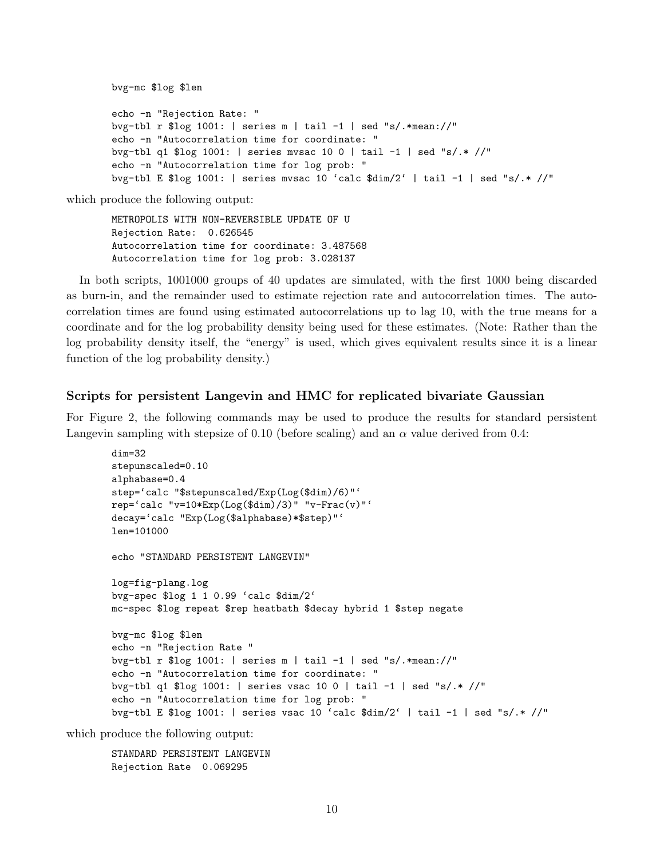```
bvg-mc $log $len
echo -n "Rejection Rate: "
bvg-tbl r $log 1001: | series m | tail -1 | sed "s/.*mean://"
echo -n "Autocorrelation time for coordinate: "
bvg-tbl q1 $log 1001: | series mvsac 10 0 | tail -1 | sed "s/.* //"
echo -n "Autocorrelation time for log prob: "
bvg-tbl E $log 1001: | series mvsac 10 'calc $dim/2' | tail -1 | sed "s/.* //"
```
METROPOLIS WITH NON-REVERSIBLE UPDATE OF U Rejection Rate: 0.626545 Autocorrelation time for coordinate: 3.487568 Autocorrelation time for log prob: 3.028137

In both scripts, 1001000 groups of 40 updates are simulated, with the first 1000 being discarded as burn-in, and the remainder used to estimate rejection rate and autocorrelation times. The autocorrelation times are found using estimated autocorrelations up to lag 10, with the true means for a coordinate and for the log probability density being used for these estimates. (Note: Rather than the log probability density itself, the "energy" is used, which gives equivalent results since it is a linear function of the log probability density.)

#### Scripts for persistent Langevin and HMC for replicated bivariate Gaussian

For Figure 2, the following commands may be used to produce the results for standard persistent Langevin sampling with stepsize of 0.10 (before scaling) and an  $\alpha$  value derived from 0.4:

```
dim=32
stepunscaled=0.10
alphabase=0.4
step='calc "$stepunscaled/Exp(Log($dim)/6)"'
rep='calc "v=10*Exp(Log($dim)/3)" "v-Frac(v)"'
decay='calc "Exp(Log($alphabase)*$step)"'
len=101000
echo "STANDARD PERSISTENT LANGEVIN"
log=fig-plang.log
bvg-spec $log 1 1 0.99 'calc $dim/2'
mc-spec $log repeat $rep heatbath $decay hybrid 1 $step negate
bvg-mc $log $len
echo -n "Rejection Rate "
bvg-tbl r $log 1001: | series m | tail -1 | sed "s/.*mean://"
echo -n "Autocorrelation time for coordinate: "
bvg-tbl q1 $log 1001: | series vsac 10 0 | tail -1 | sed "s/.* //"
echo -n "Autocorrelation time for log prob: "
bvg-tbl E $log 1001: | series vsac 10 'calc $dim/2' | tail -1 | sed "s/.* //"
```
which produce the following output:

```
STANDARD PERSISTENT LANGEVIN
Rejection Rate 0.069295
```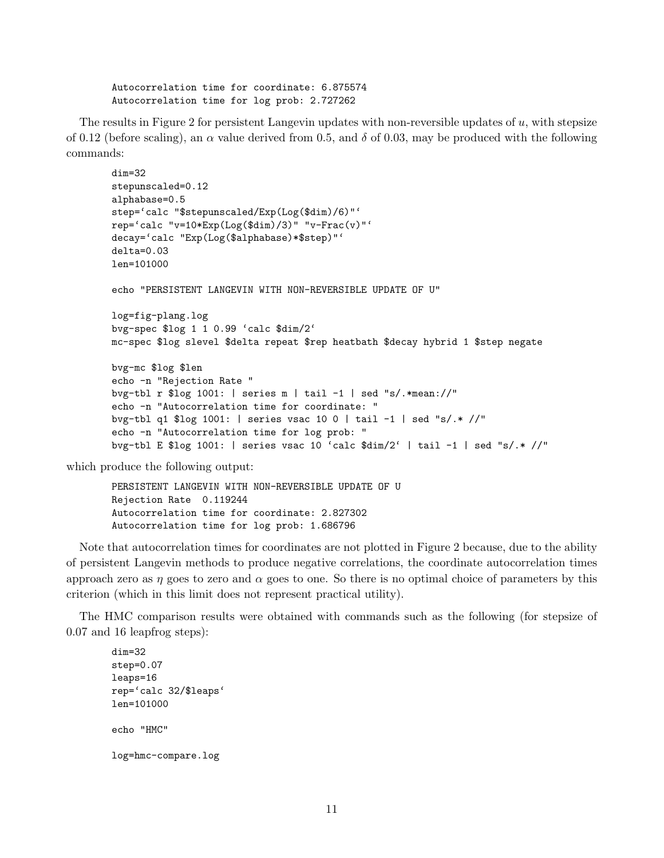Autocorrelation time for coordinate: 6.875574 Autocorrelation time for log prob: 2.727262

The results in Figure 2 for persistent Langevin updates with non-reversible updates of  $u$ , with stepsize of 0.12 (before scaling), an  $\alpha$  value derived from 0.5, and  $\delta$  of 0.03, may be produced with the following commands:

```
dim=32
stepunscaled=0.12
alphabase=0.5
step='calc "$stepunscaled/Exp(Log($dim)/6)"'
rep='calc "v=10*Exp(Log($dim)/3)" "v-Frac(v)"'
decay='calc "Exp(Log($alphabase)*$step)"'
delta=0.03
len=101000
echo "PERSISTENT LANGEVIN WITH NON-REVERSIBLE UPDATE OF U"
log=fig-plang.log
bvg-spec $log 1 1 0.99 'calc $dim/2'
mc-spec $log slevel $delta repeat $rep heatbath $decay hybrid 1 $step negate
bvg-mc $log $len
echo -n "Rejection Rate "
bvg-tbl r $log 1001: | series m | tail -1 | sed "s/.*mean://"
echo -n "Autocorrelation time for coordinate: "
bvg-tbl q1 $log 1001: | series vsac 10 0 | tail -1 | sed "s/.* //"
echo -n "Autocorrelation time for log prob: "
bvg-tbl E $log 1001: | series vsac 10 'calc $dim/2' | tail -1 | sed "s/.* //"
```
which produce the following output:

PERSISTENT LANGEVIN WITH NON-REVERSIBLE UPDATE OF U Rejection Rate 0.119244 Autocorrelation time for coordinate: 2.827302 Autocorrelation time for log prob: 1.686796

Note that autocorrelation times for coordinates are not plotted in Figure 2 because, due to the ability of persistent Langevin methods to produce negative correlations, the coordinate autocorrelation times approach zero as  $\eta$  goes to zero and  $\alpha$  goes to one. So there is no optimal choice of parameters by this criterion (which in this limit does not represent practical utility).

The HMC comparison results were obtained with commands such as the following (for stepsize of 0.07 and 16 leapfrog steps):

dim=32 step=0.07 leaps=16 rep='calc 32/\$leaps' len=101000 echo "HMC" log=hmc-compare.log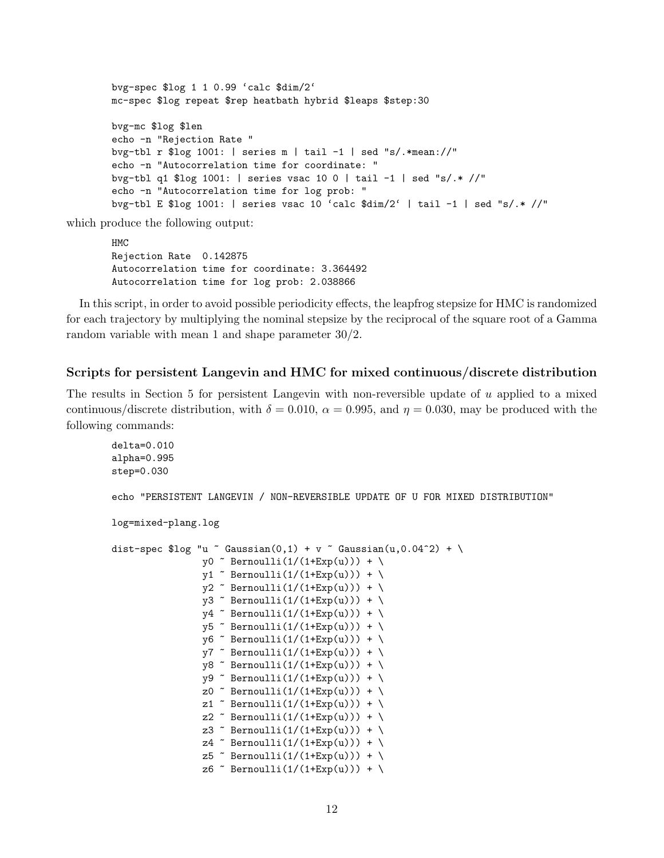```
bvg-spec $log 1 1 0.99 'calc $dim/2'
mc-spec $log repeat $rep heatbath hybrid $leaps $step:30
bvg-mc $log $len
echo -n "Rejection Rate "
bvg-tbl r $log 1001: | series m | tail -1 | sed "s/.*mean://"
echo -n "Autocorrelation time for coordinate: "
bvg-tbl q1 $log 1001: | series vsac 10 0 | tail -1 | sed "s/.* //"
echo -n "Autocorrelation time for log prob: "
bvg-tbl E $log 1001: | series vsac 10 'calc $dim/2' | tail -1 | sed "s/.* //"
```
HMC Rejection Rate 0.142875 Autocorrelation time for coordinate: 3.364492 Autocorrelation time for log prob: 2.038866

In this script, in order to avoid possible periodicity effects, the leapfrog stepsize for HMC is randomized for each trajectory by multiplying the nominal stepsize by the reciprocal of the square root of a Gamma random variable with mean 1 and shape parameter 30/2.

#### Scripts for persistent Langevin and HMC for mixed continuous/discrete distribution

The results in Section 5 for persistent Langevin with non-reversible update of  $u$  applied to a mixed continuous/discrete distribution, with  $\delta = 0.010$ ,  $\alpha = 0.995$ , and  $\eta = 0.030$ , may be produced with the following commands:

```
delta=0.010
alpha=0.995
step=0.030
echo "PERSISTENT LANGEVIN / NON-REVERSIBLE UPDATE OF U FOR MIXED DISTRIBUTION"
log=mixed-plang.log
dist-spec $log "u \tilde{ } Gaussian(0,1) + v \tilde{ } Gaussian(u,0.04^2) + \
                   y0 \degree Bernoulli(1/(1+Exp(u))) + \
                   v1 \sim Bernoulli(1/(1+Exp(u))) + \
                   y2 \tilde{b} Bernoulli(1/(1+Exp(u))) + \sqrt{2}y3 \tilde{b} Bernoulli(1/(1+Exp(u))) + \sqrt{2}y4 \sim Bernoulli(1/(1+Exp(u))) + \
                   y5 \tilde{ } Bernoulli(1/(1+Exp(u))) + \
                   y6 \tilde{\text{Bernoulli}}(1/(1+\text{Exp}(u))) + \sqrt{\text{Var}(y)}y7 \tilde{ } Bernoulli(1/(1+Exp(u))) + \
                   y8 \tilde{ } Bernoulli(1/(1+Exp(u))) + \
                   y9 \tilde{ } Bernoulli(1/(1+Exp(u))) + \
                   z0 \tilde{ } Bernoulli(1/(1+Exp(u))) + \
                   z1 \tilde{ } Bernoulli(1/(1+Exp(u))) + \
                   z2 \tilde{c} Bernoulli(1/(1+Exp(u))) + \
                   z3 \tilde{ } Bernoulli(1/(1+Exp(u))) + \
                   z4 \tilde{ } Bernoulli(1/(1+Exp(u))) + \
                   z5 \tilde{ } Bernoulli(1/(1+Exp(u))) + \
                   z6 \tilde{c} Bernoulli(1/(1+Exp(u))) + \
```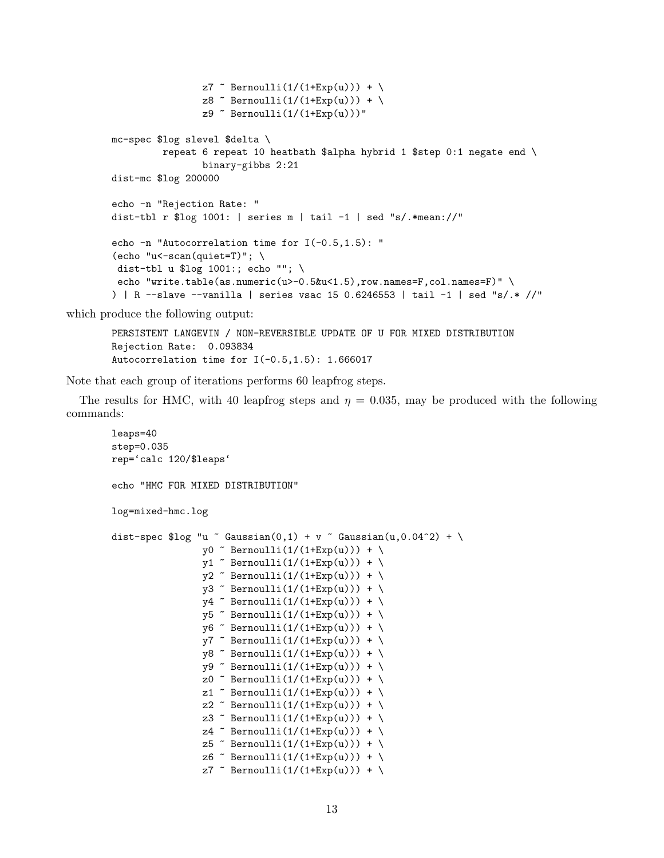```
z7 \tilde{C} Bernoulli(1/(1+Exp(u))) + \z8 \tilde{ } Bernoulli(1/(1+Exp(u))) + \
                 z9 \degree Bernoulli(1/(1+Exp(u)))"
mc-spec $log slevel $delta \
         repeat 6 repeat 10 heatbath $alpha hybrid 1 $step 0:1 negate end \setminusbinary-gibbs 2:21
dist-mc $log 200000
echo -n "Rejection Rate: "
dist-tbl r \frac{1}{2}log 1001: | series m | tail -1 | sed "s/.*mean://"
echo -n "Autocorrelation time for I(-0.5,1.5): "
(echo "u<-scan(quite=T)"; \ \ \rangledist-tbl u $log 1001:; echo ""; \
 echo "write.table(as.numeric(u>-0.5&u<1.5),row.names=F,col.names=F)" \setminus) | R -slave -vanilla | series vsac 15 0.6246553 | tail -1 | sed "s/.* //"
```
PERSISTENT LANGEVIN / NON-REVERSIBLE UPDATE OF U FOR MIXED DISTRIBUTION Rejection Rate: 0.093834 Autocorrelation time for  $I(-0.5, 1.5)$ : 1.666017

Note that each group of iterations performs 60 leapfrog steps.

The results for HMC, with 40 leapfrog steps and  $\eta = 0.035$ , may be produced with the following commands:

```
leaps=40
step=0.035
rep='calc 120/$leaps'
echo "HMC FOR MIXED DISTRIBUTION"
log=mixed-hmc.log
dist-spec $log "u " Gaussian(0,1) + v " Gaussian(u,0.04^2) + \
                   y0 \tilde{ } Bernoulli(1/(1+Exp(u))) + \
                   y1 \sim Bernoulli(1/(1+Exp(u))) + \
                   y2 \tilde{ } Bernoulli(1/(1+Exp(u))) + \
                   y3 \tilde{b} Bernoulli(1/(1+Exp(u))) + \sqrt{2}y4 \sim Bernoulli(1/(1+Exp(u))) + \
                   y5 \tilde{b} Bernoulli(1/(1+Exp(u))) + \
                   y6 \tilde{\text{S}} Bernoulli(1/(1+Exp(u))) + \
                   y7 \sim Bernoulli(1/(1+Exp(u))) + \
                   y8 \tilde{ } Bernoulli(1/(1+Exp(u))) + \
                   y9 \tilde{ } Bernoulli(1/(1+Exp(u))) + \sqrt{ }z0 \tilde{C} Bernoulli(1/(1+Exp(u))) + \z1 \tilde{ } Bernoulli(1/(1+Exp(u))) + \
                   z2 ~ Bernoulli(1/(1+Exp(u))) + \
                   z3 \tilde{ } Bernoulli(1/(1+Exp(u))) + \
                   z4 \tilde{ } Bernoulli(1/(1+Exp(u))) + \
                   z5 \tilde{ } Bernoulli(1/(1+Exp(u))) + \
                   z6 \tilde{c} Bernoulli(1/(1+Exp(u))) + \z7 \degree Bernoulli(1/(1+Exp(u))) + \
```